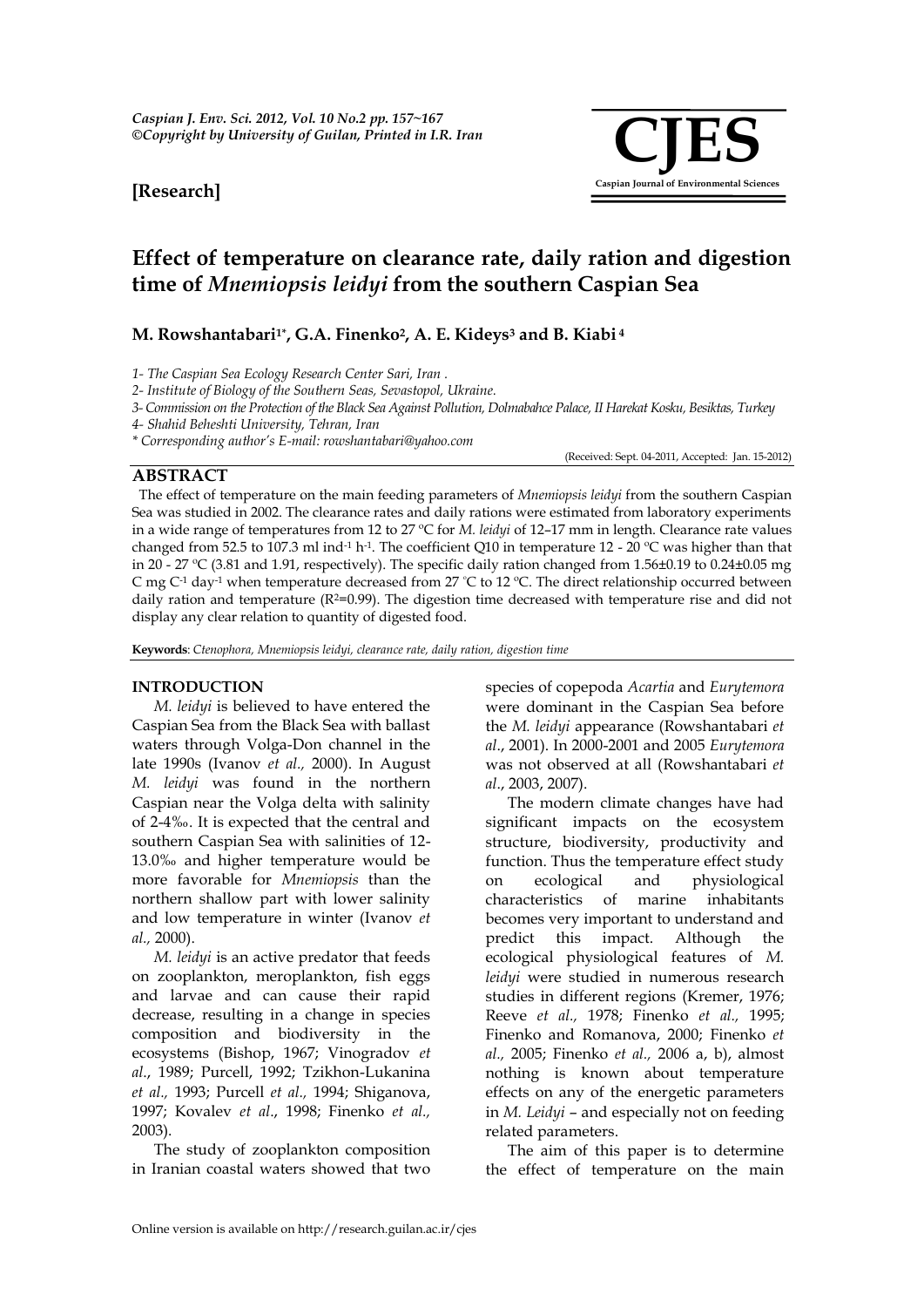## **[Research]**



(Received: Sept. 04-2011, Accepted: Jan. 15-2012)

## **Effect of temperature on clearance rate, daily ration and digestion time of** *Mnemiopsis leidyi* **from the southern Caspian Sea**

### **M. Rowshantabari1\*, G.A. Finenko2, A. E. Kideys<sup>3</sup> and B. Kiabi <sup>4</sup>**

*1- The Caspian Sea Ecology Research Center Sari, Iran .* 

*2- Institute of Biology of the Southern Seas, Sevastopol, Ukraine.*

*3- Commission on the Protection of the Black Sea Against Pollution, Dolmabahce Palace, II Harekat Kosku, Besiktas, Turkey* 

*4- Shahid Beheshti University, Tehran, Iran* 

*\* Corresponding author's E-mail: rowshantabari@yahoo.com*

**ABSTRACT**

The effect of temperature on the main feeding parameters of *Mnemiopsis leidyi* from the southern Caspian Sea was studied in 2002. The clearance rates and daily rations were estimated from laboratory experiments in a wide range of temperatures from 12 to 27 ºC for *M. leidyi* of 12–17 mm in length. Clearance rate values changed from 52.5 to 107.3 ml ind<sup>-1</sup> h<sup>-1</sup>. The coefficient Q10 in temperature 12 - 20 °C was higher than that in 20 - 27 ºC (3.81 and 1.91, respectively). The specific daily ration changed from 1.56±0.19 to 0.24±0.05 mg C mg C-1 day-1 when temperature decreased from 27 ºC to 12 ºC. The direct relationship occurred between daily ration and temperature  $(R^2=0.99)$ . The digestion time decreased with temperature rise and did not display any clear relation to quantity of digested food.

**Keywords**: *Ctenophora, Mnemiopsis leidyi, clearance rate, daily ration, digestion time*

#### **INTRODUCTION**

*M. leidyi* is believed to have entered the Caspian Sea from the Black Sea with ballast waters through Volga-Don channel in the late 1990s (Ivanov *et al.,* 2000). In August *M. leidyi* was found in the northern Caspian near the Volga delta with salinity of 2-4‰. It is expected that the central and southern Caspian Sea with salinities of 12- 13.0‰ and higher temperature would be more favorable for *Mnemiopsis* than the northern shallow part with lower salinity and low temperature in winter (Ivanov *et al.,* 2000).

*M. leidyi* is an active predator that feeds on zooplankton, meroplankton, fish eggs and larvae and can cause their rapid decrease, resulting in a change in species composition and biodiversity in the ecosystems (Bishop, 1967; Vinogradov *et al*., 1989; Purcell, 1992; Tzikhon-Lukanina *et al.,* 1993; Purcell *et al.,* 1994; Shiganova, 1997; Kovalev *et al*., 1998; Finenko *et al.,* 2003).

The study of zooplankton composition in Iranian coastal waters showed that two

species of copepoda *Acartia* and *Eurytemora* were dominant in the Caspian Sea before the *M. leidyi* appearance (Rowshantabari *et al*., 2001). In 2000-2001 and 2005 *Eurytemora* was not observed at all (Rowshantabari *et al*., 2003, 2007).

The modern climate changes have had significant impacts on the ecosystem structure, biodiversity, productivity and function. Thus the temperature effect study on ecological and physiological characteristics of marine inhabitants becomes very important to understand and predict this impact. Although the ecological physiological features of *M. leidyi* were studied in numerous research studies in different regions (Kremer, 1976; Reeve *et al.,* 1978; Finenko *et al.,* 1995; Finenko and Romanova, 2000; Finenko *et al.,* 2005; Finenko *et al.,* 2006 a, b), almost nothing is known about temperature effects on any of the energetic parameters in *M. Leidyi* – and especially not on feeding related parameters.

The aim of this paper is to determine the effect of temperature on the main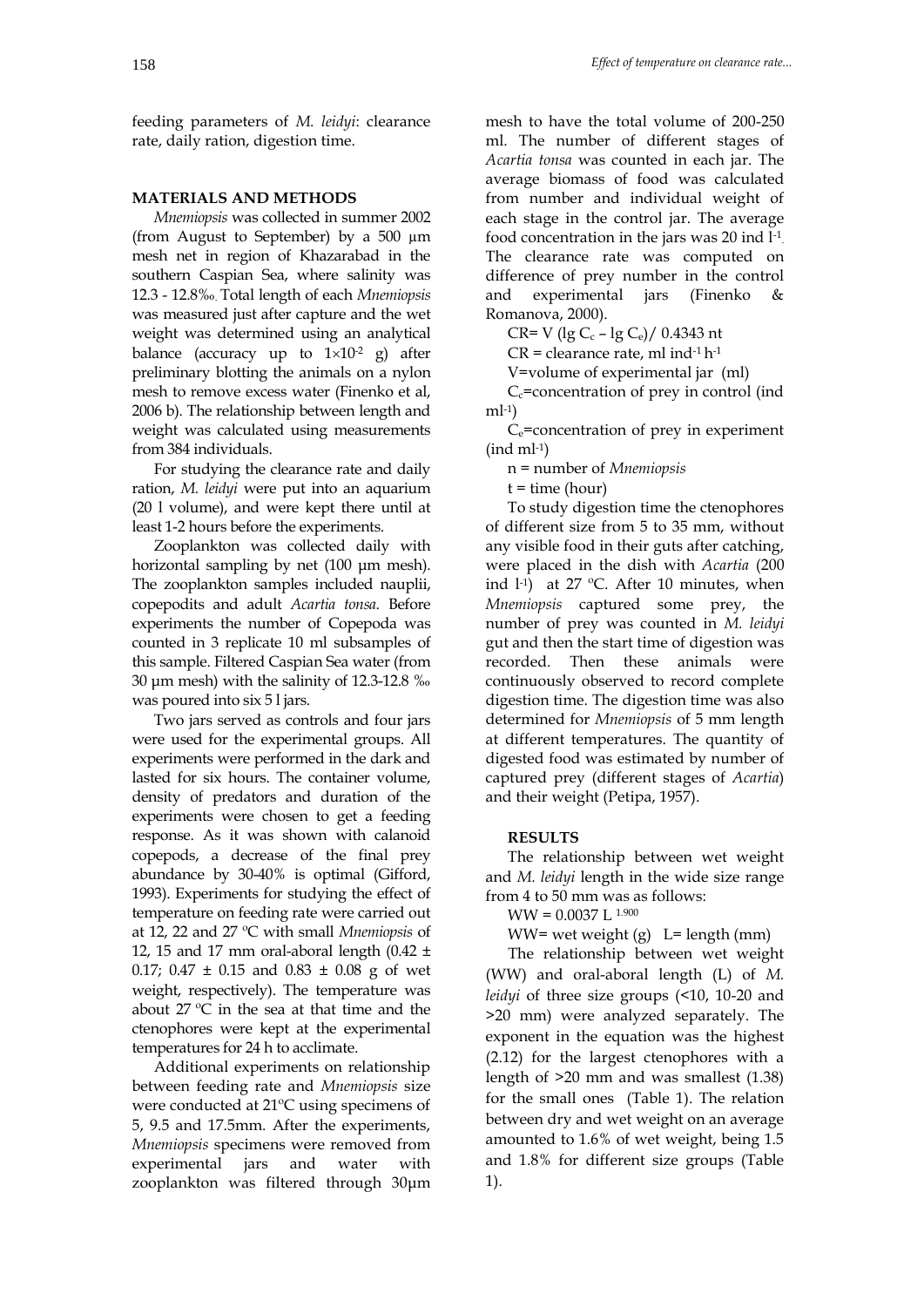feeding parameters of *M. leidyi*: clearance rate, daily ration, digestion time.

#### **MATERIALS AND METHODS**

*Mnemiopsis* was collected in summer 2002 (from August to September) by a 500 µm mesh net in region of Khazarabad in the southern Caspian Sea, where salinity was 12.3 - 12.8‰. Total length of each *Mnemiopsis* was measured just after capture and the wet weight was determined using an analytical balance (accuracy up to  $1 \times 10^{-2}$  g) after preliminary blotting the animals on a nylon mesh to remove excess water (Finenko et al, 2006 b). The relationship between length and weight was calculated using measurements from 384 individuals.

For studying the clearance rate and daily ration, *M. leidyi* were put into an aquarium (20 l volume), and were kept there until at least 1-2 hours before the experiments.

Zooplankton was collected daily with horizontal sampling by net (100 μm mesh). The zooplankton samples included nauplii, copepodits and adult *Acartia tonsa*. Before experiments the number of Copepoda was counted in 3 replicate 10 ml subsamples of this sample. Filtered Caspian Sea water (from 30 μm mesh) with the salinity of 12.3-12.8 ‰ was poured into six 5 l jars.

Two jars served as controls and four jars were used for the experimental groups. All experiments were performed in the dark and lasted for six hours. The container volume, density of predators and duration of the experiments were chosen to get a feeding response. As it was shown with calanoid copepods, a decrease of the final prey abundance by 30-40% is optimal (Gifford, 1993). Experiments for studying the effect of temperature on feeding rate were carried out at 12, 22 and 27 ºC with small *Mnemiopsis* of 12, 15 and 17 mm oral-aboral length  $(0.42 \pm 1)$ 0.17;  $0.47 \pm 0.15$  and  $0.83 \pm 0.08$  g of wet weight, respectively). The temperature was about 27 ºC in the sea at that time and the ctenophores were kept at the experimental temperatures for 24 h to acclimate.

Additional experiments on relationship between feeding rate and *Mnemiopsis* size were conducted at 21ºC using specimens of 5, 9.5 and 17.5mm. After the experiments, *Mnemiopsis* specimens were removed from experimental jars and water with zooplankton was filtered through 30μm

mesh to have the total volume of 200-250 ml. The number of different stages of *Acartia tonsa* was counted in each jar. The average biomass of food was calculated from number and individual weight of each stage in the control jar. The average food concentration in the jars was 20 ind l-1 . The clearance rate was computed on difference of prey number in the control and experimental jars (Finenko Romanova, 2000).

 $CR= V$  (lg C<sub>c</sub> – lg C<sub>e</sub>)/ 0.4343 nt

 $CR =$  clearance rate, ml ind<sup>-1</sup> h<sup>-1</sup>

V=volume of experimental jar (ml)

 $C_c$ =concentration of prey in control (ind ml-1 )

Ce=concentration of prey in experiment (ind ml-1 )

n = number of *Mnemiopsis*

 $t =$  time (hour)

To study digestion time the ctenophores of different size from 5 to 35 mm, without any visible food in their guts after catching, were placed in the dish with *Acartia* (200 ind l-1 ) at 27 ºC. After 10 minutes, when *Mnemiopsis* captured some prey, the number of prey was counted in *M. leidyi*  gut and then the start time of digestion was recorded. Then these animals were continuously observed to record complete digestion time. The digestion time was also determined for *Mnemiopsis* of 5 mm length at different temperatures. The quantity of digested food was estimated by number of captured prey (different stages of *Acartia*) and their weight (Petipa, 1957).

#### **RESULTS**

The relationship between wet weight and *M. leidyi* length in the wide size range from 4 to 50 mm was as follows:

 $WW = 0.0037 L^{1.900}$ 

WW= wet weight  $(g)$  L= length (mm)

The relationship between wet weight (WW) and oral-aboral length (L) of *M. leidyi* of three size groups (<10, 10-20 and >20 mm) were analyzed separately. The exponent in the equation was the highest (2.12) for the largest ctenophores with a length of >20 mm and was smallest (1.38) for the small ones (Table 1). The relation between dry and wet weight on an average amounted to 1.6% of wet weight, being 1.5 and 1.8% for different size groups (Table 1).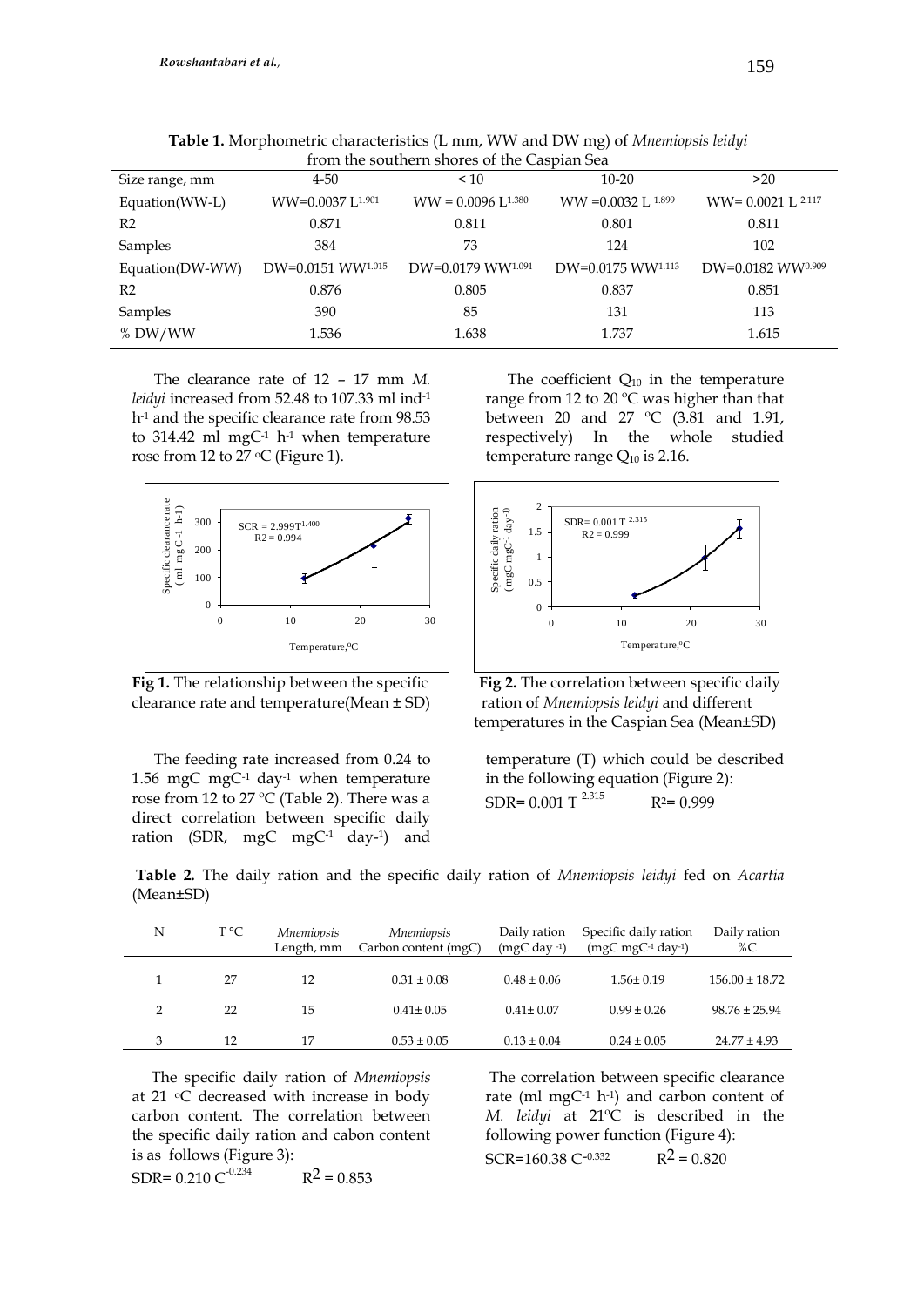| from the southern shores of the Caspian Sea |                              |                         |                                 |                       |  |  |  |
|---------------------------------------------|------------------------------|-------------------------|---------------------------------|-----------------------|--|--|--|
| Size range, mm                              | $4 - 50$                     | ~10                     | $10 - 20$                       | >20                   |  |  |  |
| Equation(WW-L)                              | WW=0.0037 L <sup>1.901</sup> | $WW = 0.0096$ I $1.380$ | $WW = 0.0032$ L $1.899$         | $WW = 0.0021$ L 2.117 |  |  |  |
| R <sub>2</sub>                              | 0.871                        | 0.811                   | 0.801                           | 0.811                 |  |  |  |
| Samples                                     | 384                          | 73                      | 124                             | 102                   |  |  |  |
| Equation(DW-WW)                             | DW=0.0151 WW1.015            | DW=0.0179 WW1.091       | $DW=0.0175$ WW <sup>1.113</sup> | DW=0.0182 WW0.909     |  |  |  |
| R <sub>2</sub>                              | 0.876                        | 0.805                   | 0.837                           | 0.851                 |  |  |  |
| Samples                                     | 390                          | 85                      | 131                             | 113                   |  |  |  |
| % DW/WW                                     | 1.536                        | 1.638                   | 1.737                           | 1.615                 |  |  |  |

**Table 1.** Morphometric characteristics (L mm, WW and DW mg) of *Mnemiopsis leidyi* from the southern shores of the Caspian Sea

The clearance rate of 12 – 17 mm *M. leidyi* increased from 52.48 to 107.33 ml ind-1 h<sup>-1</sup> and the specific clearance rate from 98.53 to 314.42 ml mgC $^{-1}$  h $^{-1}$  when temperature rose from 12 to 27  $\mathrm{C}$  (Figure 1).



Fig 1. The relationship between the specific clearance rate and temperature(Mean ± SD) ration of *Mnemiopsis leidyi* and different

The feeding rate increased from 0.24 to 1.56 mgC mgC<sup>-1</sup> day<sup>-1</sup> when temperature rose from 12 to 27 ºC (Table 2). There was a direct correlation between specific daily ration (SDR, mgC mgC<sup>-1</sup> day-<sup>1</sup>) and

The coefficient  $Q_{10}$  in the temperature range from 12 to 20 ºC was higher than that between 20 and 27 ºC (3.81 and 1.91, respectively) In the whole studied temperature range  $Q_{10}$  is 2.16.



**Fig 2.** The correlation between specific daily temperatures in the Caspian Sea (Mean±SD)

temperature (T) which could be described in the following equation (Figure 2): SDR=  $0.001$  T<sup>2.315</sup>  $R^2= 0.999$ 

| N | T °C | <i>Mnemiopsis</i><br>Length, mm | Mnemiopsis<br>Carbon content (mgC) | Daily ration<br>$(mgC \, \text{day}^{-1})$ | Specific daily ration<br>$(mgC \, mgC^{-1} \, day^{-1})$ | Daily ration<br>%C |
|---|------|---------------------------------|------------------------------------|--------------------------------------------|----------------------------------------------------------|--------------------|
|   | 27   | 12                              | $0.31 \pm 0.08$                    | $0.48 \pm 0.06$                            | $1.56 \pm 0.19$                                          | $156.00 \pm 18.72$ |
|   | 22   | 15                              | $0.41 \pm 0.05$                    | $0.41 \pm 0.07$                            | $0.99 \pm 0.26$                                          | $98.76 \pm 25.94$  |

3 12 17  $0.53 \pm 0.05$   $0.13 \pm 0.04$   $0.24 \pm 0.05$   $24.77 \pm 4.93$ 

**Table 2***.* The daily ration and the specific daily ration of *Mnemiopsis leidyi* fed on *Acartia*  (Mean±SD)

 The specific daily ration of *Mnemiopsis* at 21  $\,^{\circ}$ C decreased with increase in body carbon content. The correlation between the specific daily ration and cabon content is as follows (Figure 3): SDR=  $0.210 \text{ C}^{-0.234}$  $R^2 = 0.853$ 

The correlation between specific clearance rate (ml mgC $-1$  h $-1$ ) and carbon content of *M. leidyi* at 21ºC is described in the following power function (Figure 4): SCR=160.38 C**–**0.332  $R^2 = 0.820$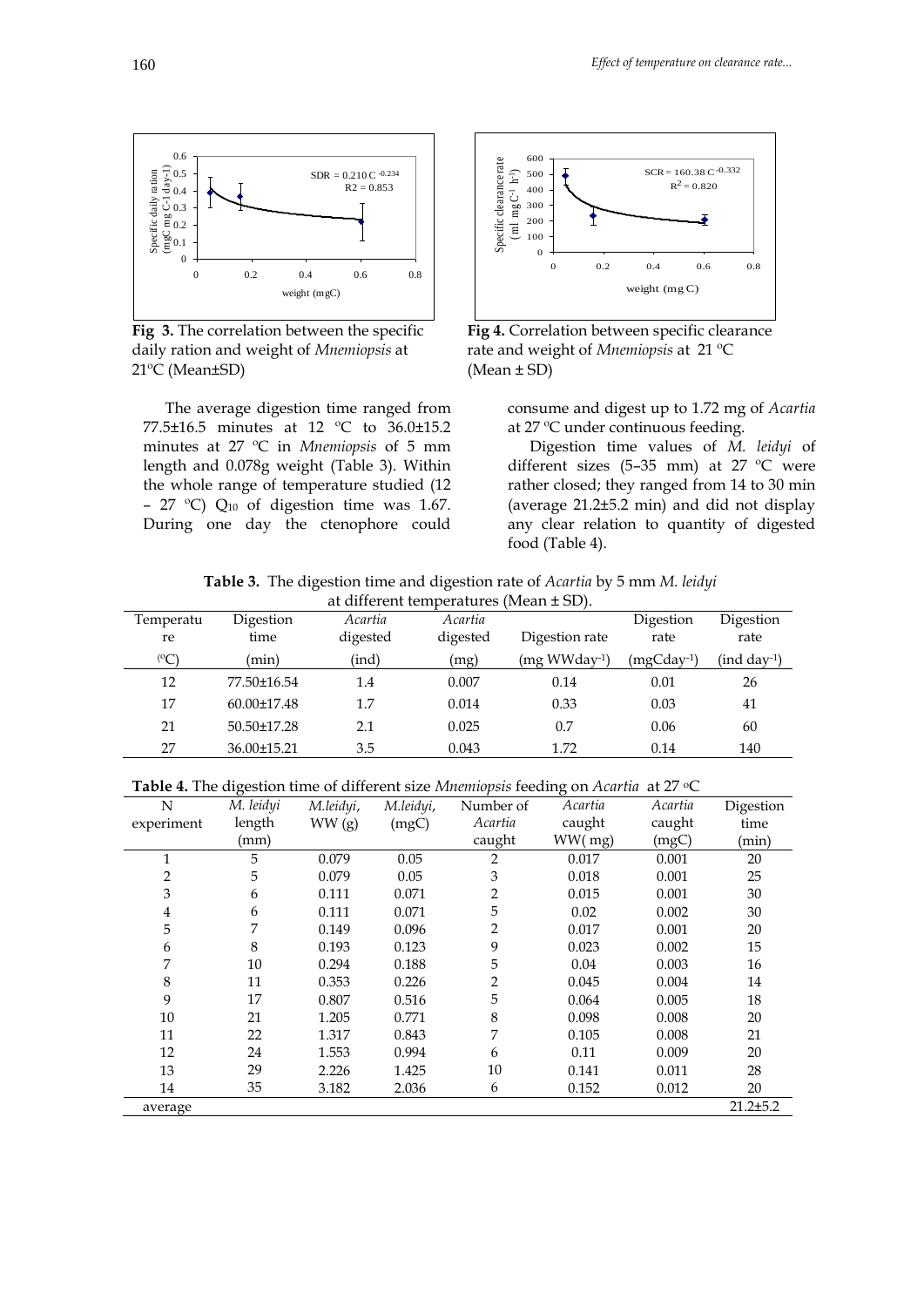

daily ration and weight of *Mnemiopsis* at rate and weight of *Mnemiopsis* at 21 ºC 21ºC (Mean±SD) (Mean ± SD)

The average digestion time ranged from 77.5±16.5 minutes at 12 ºC to 36.0±15.2 minutes at 27 ºC in *Mnemiopsis* of 5 mm length and 0.078g weight (Table 3). Within the whole range of temperature studied (12 - 27 °C)  $Q_{10}$  of digestion time was 1.67. During one day the ctenophore could



**Fig 3.** The correlation between the specific **Fig 4.** Correlation between specific clearance

consume and digest up to 1.72 mg of *Acartia* at 27 ºC under continuous feeding.

Digestion time values of *M. leidyi* of different sizes (5–35 mm) at 27 ºC were rather closed; they ranged from 14 to 30 min (average 21.2±5.2 min) and did not display any clear relation to quantity of digested food (Table 4).

**Table 3.** The digestion time and digestion rate of *Acartia* by 5 mm *M. leidyi*

| at different temperatures (Mean $\pm$ SD). |                   |          |          |                |            |             |
|--------------------------------------------|-------------------|----------|----------|----------------|------------|-------------|
| Temperatu                                  | Digestion         | Acartia  | Acartia  |                | Digestion  | Digestion   |
| re                                         | time              | digested | digested | Digestion rate | rate       | rate        |
| $\rm ^{(0}C)$                              | (min)             | (ind)    | (mg)     | (mg WWday-1)   | (mgCday-1) | (ind day-1) |
| 12                                         | 77.50±16.54       | 1.4      | 0.007    | 0.14           | 0.01       | 26          |
| 17                                         | $60.00 \pm 17.48$ | 1.7      | 0.014    | 0.33           | 0.03       | 41          |
| 21                                         | $50.50 \pm 17.28$ | 2.1      | 0.025    | 0.7            | 0.06       | 60          |
| 27                                         | 36.00±15.21       | 3.5      | 0.043    | 1.72           | 0.14       | 140         |

Table 4. The digestion time of different size *Mnemiopsis* feeding on *Acartia* at 27 °C

| N              | M. leidyi | M.leidyi, | M.leidyi, | Number of      | Acartia | Acartia | Digestion      |
|----------------|-----------|-----------|-----------|----------------|---------|---------|----------------|
| experiment     | length    | WW(g)     | (mgC)     | Acartia        | caught  | caught  | time           |
|                | (mm)      |           |           | caught         | WW(mg)  | (mgC)   | (min)          |
| 1              | 5         | 0.079     | 0.05      | 2              | 0.017   | 0.001   | 20             |
| $\overline{2}$ | 5         | 0.079     | 0.05      | 3              | 0.018   | 0.001   | 25             |
| 3              | 6         | 0.111     | 0.071     | $\overline{2}$ | 0.015   | 0.001   | 30             |
| 4              | 6         | 0.111     | 0.071     | 5              | 0.02    | 0.002   | 30             |
| 5              | 7         | 0.149     | 0.096     | 2              | 0.017   | 0.001   | 20             |
| 6              | 8         | 0.193     | 0.123     | 9              | 0.023   | 0.002   | 15             |
| 7              | 10        | 0.294     | 0.188     | 5              | 0.04    | 0.003   | 16             |
| 8              | 11        | 0.353     | 0.226     | 2              | 0.045   | 0.004   | 14             |
| 9              | 17        | 0.807     | 0.516     | 5              | 0.064   | 0.005   | 18             |
| 10             | 21        | 1.205     | 0.771     | 8              | 0.098   | 0.008   | 20             |
| 11             | 22        | 1.317     | 0.843     | 7              | 0.105   | 0.008   | 21             |
| 12             | 24        | 1.553     | 0.994     | 6              | 0.11    | 0.009   | 20             |
| 13             | 29        | 2.226     | 1.425     | 10             | 0.141   | 0.011   | 28             |
| 14             | 35        | 3.182     | 2.036     | 6              | 0.152   | 0.012   | 20             |
| average        |           |           |           |                |         |         | $21.2 \pm 5.2$ |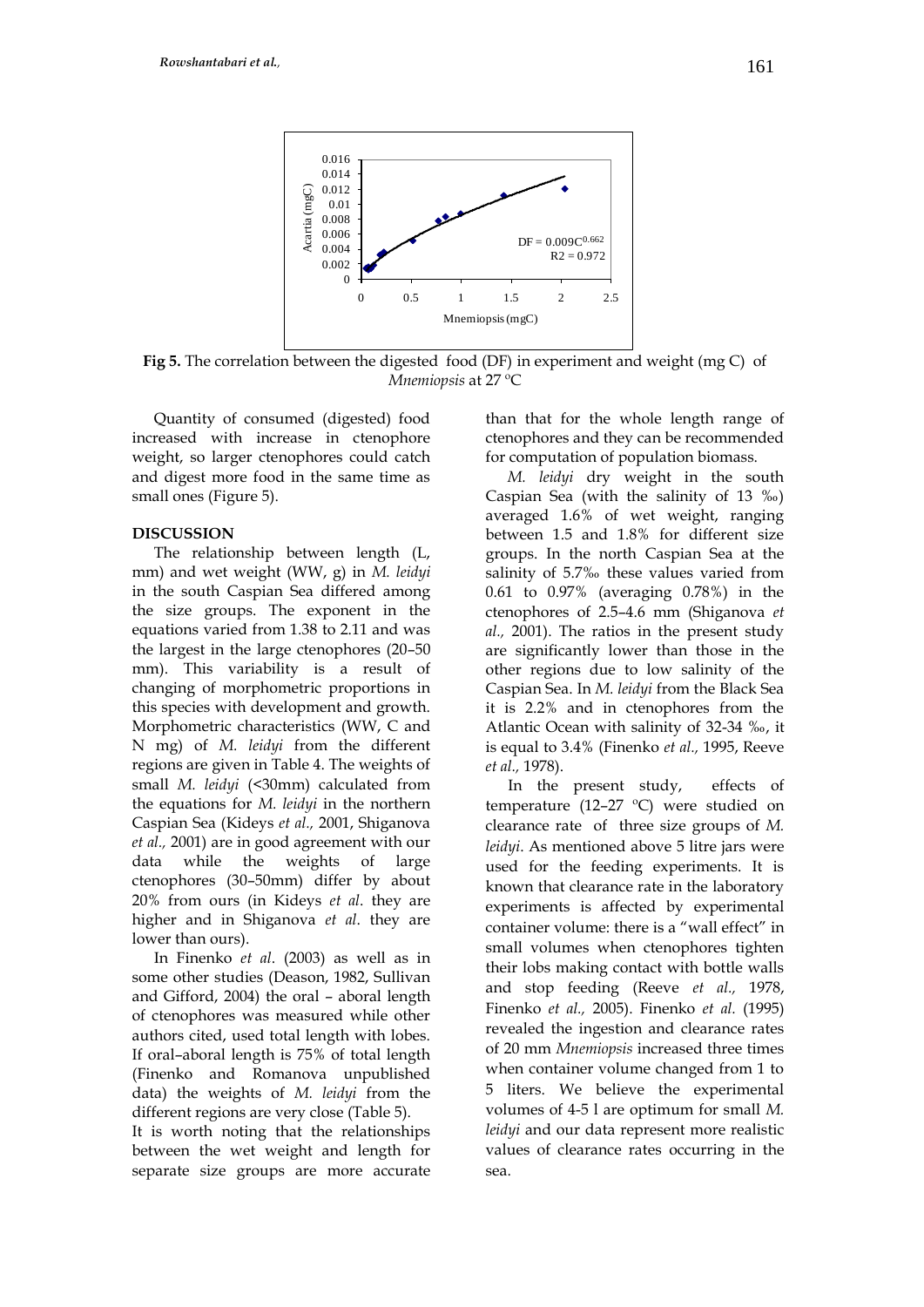

**Fig 5.** The correlation between the digested food (DF) in experiment and weight (mg C) of *Mnemiopsis* at 27 ºC

Quantity of consumed (digested) food increased with increase in ctenophore weight, so larger ctenophores could catch and digest more food in the same time as small ones (Figure 5).

#### **DISCUSSION**

The relationship between length (L, mm) and wet weight (WW, g) in *M. leidyi* in the south Caspian Sea differed among the size groups. The exponent in the equations varied from 1.38 to 2.11 and was the largest in the large ctenophores (20–50) mm). This variability is a result of changing of morphometric proportions in this species with development and growth. Morphometric characteristics (WW, C and N mg) of *M. leidyi* from the different regions are given in Table 4. The weights of small *M. leidyi* (<30mm) calculated from the equations for *M. leidyi* in the northern Caspian Sea (Kideys *et al.,* 2001, Shiganova *et al.,* 2001) are in good agreement with our data while the weights of large ctenophores (30–50mm) differ by about 20% from ours (in Kideys *et al*. they are higher and in Shiganova *et al*. they are lower than ours).

In Finenko *et al*. (2003) as well as in some other studies (Deason, 1982, Sullivan and Gifford, 2004) the oral – aboral length of ctenophores was measured while other authors cited, used total length with lobes. If oral–aboral length is 75% of total length (Finenko and Romanova unpublished data) the weights of *M. leidyi* from the different regions are very close (Table 5).

It is worth noting that the relationships between the wet weight and length for separate size groups are more accurate than that for the whole length range of ctenophores and they can be recommended for computation of population biomass.

*M. leidyi* dry weight in the south Caspian Sea (with the salinity of 13 ‰) averaged 1.6% of wet weight, ranging between 1.5 and 1.8% for different size groups. In the north Caspian Sea at the salinity of 5.7‰ these values varied from 0.61 to 0.97% (averaging 0.78%) in the ctenophores of 2.5–4.6 mm (Shiganova *et al.,* 2001). The ratios in the present study are significantly lower than those in the other regions due to low salinity of the Caspian Sea. In *M. leidyi* from the Black Sea it is 2.2% and in ctenophores from the Atlantic Ocean with salinity of 32-34 ‰, it is equal to 3.4% (Finenko *et al.,* 1995, Reeve *et al.,* 1978).

In the present study, effects of temperature (12–27 ºC) were studied on clearance rate of three size groups of *M. leidyi*. As mentioned above 5 litre jars were used for the feeding experiments. It is known that clearance rate in the laboratory experiments is affected by experimental container volume: there is a "wall effect" in small volumes when ctenophores tighten their lobs making contact with bottle walls and stop feeding (Reeve *et al.,* 1978, Finenko *et al.,* 2005). Finenko *et al.* (1995) revealed the ingestion and clearance rates of 20 mm *Mnemiopsis* increased three times when container volume changed from 1 to 5 liters. We believe the experimental volumes of 4-5 l are optimum for small *M. leidyi* and our data represent more realistic values of clearance rates occurring in the sea.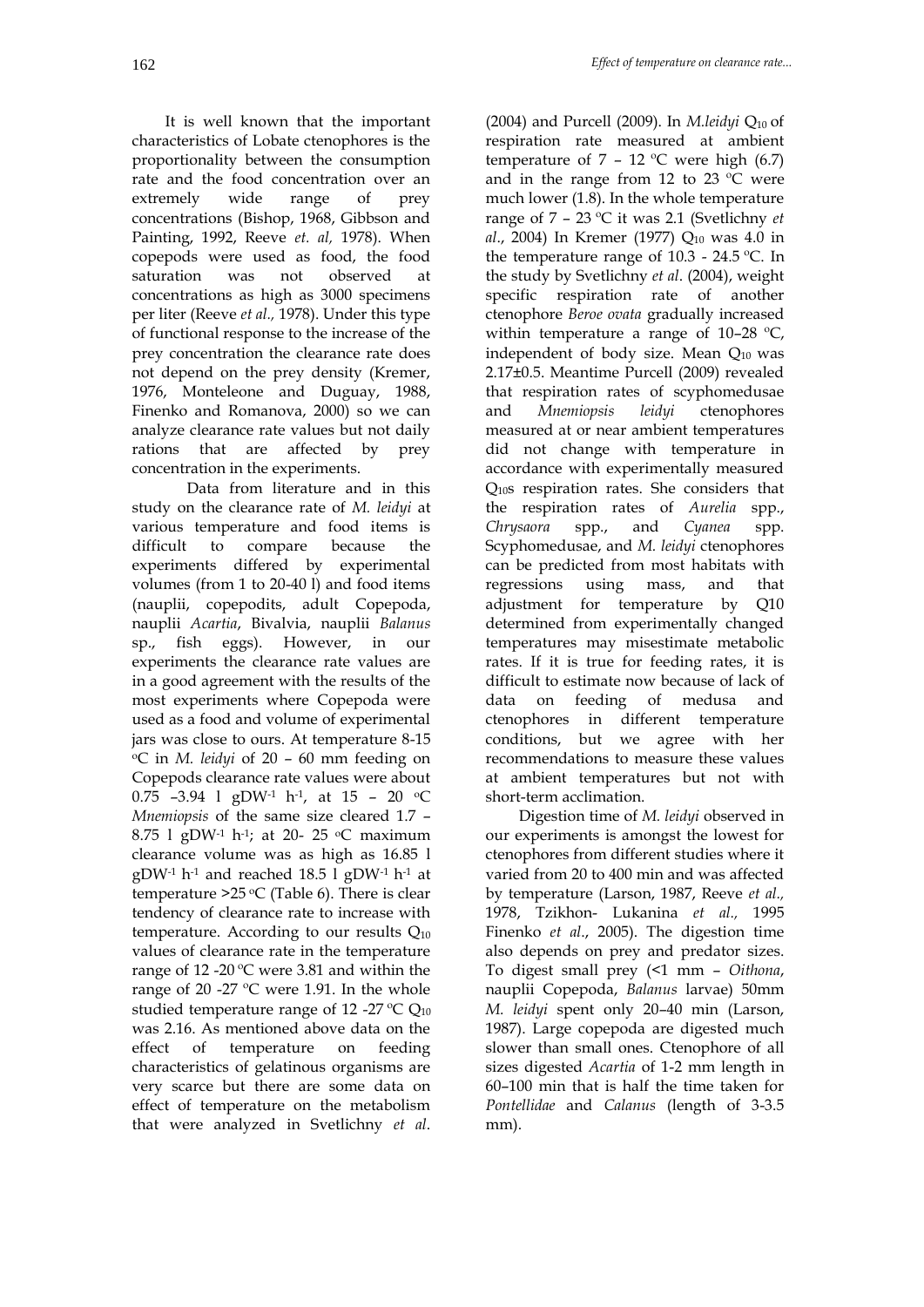It is well known that the important characteristics of Lobate ctenophores is the proportionality between the consumption rate and the food concentration over an extremely wide range of prey concentrations (Bishop, 1968, Gibbson and Painting, 1992, Reeve *et. al,* 1978). When copepods were used as food, the food saturation was not observed at concentrations as high as 3000 specimens per liter (Reeve *et al.,* 1978). Under this type of functional response to the increase of the prey concentration the clearance rate does not depend on the prey density (Kremer, 1976, Monteleone and Duguay, 1988, Finenko and Romanova, 2000) so we can analyze clearance rate values but not daily rations that are affected by prey concentration in the experiments.

Data from literature and in this study on the clearance rate of *M. leidyi* at various temperature and food items is difficult to compare because the experiments differed by experimental volumes (from 1 to 20-40 l) and food items (nauplii, copepodits, adult Copepoda, nauplii *Acartia*, Bivalvia, nauplii *Balanus* sp., fish eggs). However, in our experiments the clearance rate values are in a good agreement with the results of the most experiments where Copepoda were used as a food and volume of experimental jars was close to ours. At temperature 8-15 <sup>o</sup>C in *M. leidyi* of 20 – 60 mm feeding on Copepods clearance rate values were about 0.75  $-3.94$  1 gDW<sup>-1</sup> h<sup>-1</sup>, at 15 - 20 <sup>o</sup>C *Mnemiopsis* of the same size cleared 1.7 – 8.75 1 gDW<sup>-1</sup> h<sup>-1</sup>; at 20- 25 °C maximum clearance volume was as high as 16.85 l gDW-1 h-1 and reached 18.5 l gDW-1 h-1 at temperature  $>25$  °C (Table 6). There is clear tendency of clearance rate to increase with temperature. According to our results  $Q_{10}$ values of clearance rate in the temperature range of 12 -20 $\degree$ C were 3.81 and within the range of 20 -27 ºC were 1.91. In the whole studied temperature range of 12 -27 °C  $Q_{10}$ was 2.16. As mentioned above data on the effect of temperature on feeding characteristics of gelatinous organisms are very scarce but there are some data on effect of temperature on the metabolism that were analyzed in Svetlichny *et al*.

(2004) and Purcell (2009). In *M.leidyi*  $Q_{10}$  of respiration rate measured at ambient temperature of  $7 - 12$  °C were high (6.7) and in the range from 12 to 23 ºC were much lower (1.8). In the whole temperature range of 7 – 23 ºC it was 2.1 (Svetlichny *et al.*, 2004) In Kremer (1977) Q<sub>10</sub> was 4.0 in the temperature range of 10.3 - 24.5 ºC. In the study by Svetlichny *et al*. (2004), weight specific respiration rate of another ctenophore *Beroe ovata* gradually increased within temperature a range of 10-28 °C, independent of body size. Mean  $Q_{10}$  was 2.17±0.5. Meantime Purcell (2009) revealed that respiration rates of scyphomedusae and *Mnemiopsis leidyi* ctenophores measured at or near ambient temperatures did not change with temperature in accordance with experimentally measured Q10s respiration rates. She considers that the respiration rates of *Aurelia* spp., *Chrysaora* spp., and *Cyanea* spp. Scyphomedusae, and *M. leidyi* ctenophores can be predicted from most habitats with regressions using mass, and that adjustment for temperature by Q10 determined from experimentally changed temperatures may misestimate metabolic rates. If it is true for feeding rates, it is difficult to estimate now because of lack of data on feeding of medusa and ctenophores in different temperature conditions, but we agree with her recommendations to measure these values at ambient temperatures but not with short-term acclimation.

Digestion time of *M. leidyi* observed in our experiments is amongst the lowest for ctenophores from different studies where it varied from 20 to 400 min and was affected by temperature (Larson, 1987, Reeve *et al.,* 1978, Tzikhon- Lukanina *et al.,* 1995 Finenko *et al*., 2005). The digestion time also depends on prey and predator sizes. To digest small prey (<1 mm – *Oithona*, nauplii Copepoda, *Balanus* larvae) 50mm *M. leidyi* spent only 20–40 min (Larson, 1987). Large copepoda are digested much slower than small ones. Ctenophore of all sizes digested *Acartia* of 1-2 mm length in 60–100 min that is half the time taken for *Pontellidae* and *Calanus* (length of 3-3.5 mm).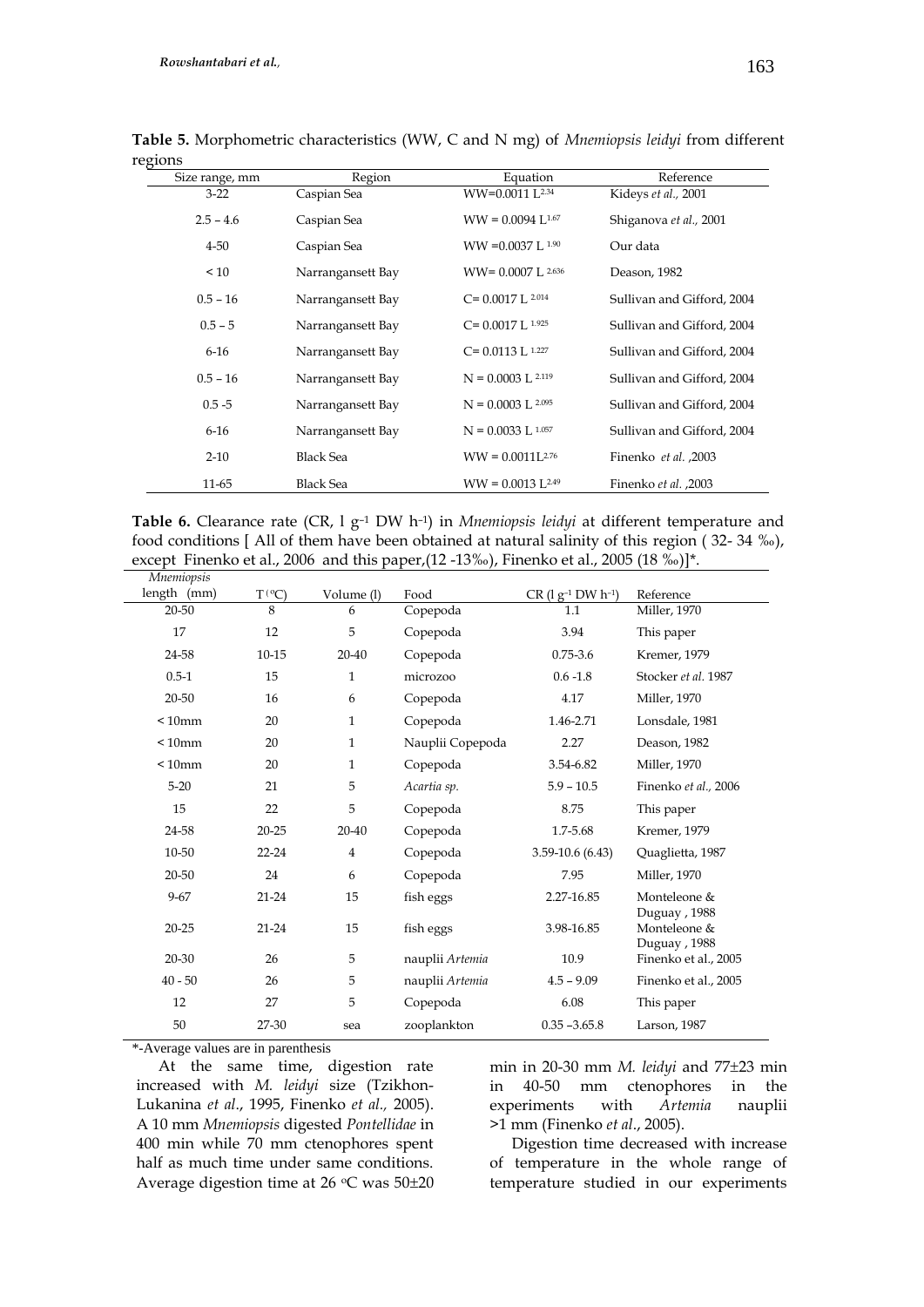| egions         |                   |                                 |                            |
|----------------|-------------------|---------------------------------|----------------------------|
| Size range, mm | Region            | Equation                        | Reference                  |
| $3-22$         | Caspian Sea       | WW=0.0011 L <sup>2.34</sup>     | Kideys et al., 2001        |
| $2.5 - 4.6$    | Caspian Sea       | $WW = 0.0094$ L <sup>1.67</sup> | Shiganova et al., 2001     |
| $4 - 50$       | Caspian Sea       | $WW = 0.0037 L^{1.90}$          | Our data                   |
| < 10           | Narrangansett Bay | $WW = 0.0007$ L 2.636           | Deason, 1982               |
| $0.5 - 16$     | Narrangansett Bay | $C = 0.0017$ L $2.014$          | Sullivan and Gifford, 2004 |
| $0.5 - 5$      | Narrangansett Bay | $C = 0.0017 L^{1.925}$          | Sullivan and Gifford, 2004 |
| $6 - 16$       | Narrangansett Bay | $C = 0.0113$ L $1.227$          | Sullivan and Gifford, 2004 |
| $0.5 - 16$     | Narrangansett Bay | $N = 0.0003$ L 2.119            | Sullivan and Gifford, 2004 |
| $0.5 - 5$      | Narrangansett Bay | $N = 0.0003$ L <sup>2.095</sup> | Sullivan and Gifford, 2004 |
| $6 - 16$       | Narrangansett Bay | $N = 0.0033$ L 1.057            | Sullivan and Gifford, 2004 |
| $2 - 10$       | <b>Black Sea</b>  | $WW = 0.0011L^{2.76}$           | Finenko et al., 2003       |
| 11-65          | <b>Black Sea</b>  | $WW = 0.0013$ L <sup>2.49</sup> | Finenko et al., 2003       |

**Table 5.** Morphometric characteristics (WW, C and N mg) of *Mnemiopsis leidyi* from different regi

| <b>Table 6.</b> Clearance rate (CR, 1 $g^{-1}$ DW h <sup>-1</sup> ) in <i>Mnemiopsis leidyi</i> at different temperature and |
|------------------------------------------------------------------------------------------------------------------------------|
| food conditions [All of them have been obtained at natural salinity of this region $(32-34\%)$ ,                             |
| except Finenko et al., 2006 and this paper, $(12 - 13\%)$ , Finenko et al., 2005 $(18\%)$ <sup>*</sup> .                     |

| <i>Mnemiopsis</i> |                  |              |                  |                                |                                              |
|-------------------|------------------|--------------|------------------|--------------------------------|----------------------------------------------|
| length (mm)       | $T({}^{\circ}C)$ | Volume (l)   | Food             | $CR$ (1 $g^{-1}$ DW $h^{-1}$ ) | Reference                                    |
| 20-50             | 8                | 6            | Copepoda         | 1.1                            | Miller, 1970                                 |
| 17                | 12               | 5            | Copepoda         | 3.94                           | This paper                                   |
| 24-58             | $10 - 15$        | 20-40        | Copepoda         | $0.75 - 3.6$                   | Kremer, 1979                                 |
| $0.5 - 1$         | 15               | $\mathbf{1}$ | microzoo         | $0.6 - 1.8$                    | Stocker et al. 1987                          |
| 20-50             | 16               | 6            | Copepoda         | 4.17                           | Miller, 1970                                 |
| $< 10$ mm         | 20               | $\mathbf{1}$ | Copepoda         | 1.46-2.71                      | Lonsdale, 1981                               |
| $< 10$ mm         | 20               | $\mathbf{1}$ | Nauplii Copepoda | 2.27                           | Deason, 1982                                 |
| $< 10$ mm         | 20               | 1            | Copepoda         | 3.54-6.82                      | Miller, 1970                                 |
| $5 - 20$          | 21               | 5            | Acartia sp.      | $5.9 - 10.5$                   | Finenko et al., 2006                         |
| 15                | 22               | 5            | Copepoda         | 8.75                           | This paper                                   |
| 24-58             | $20 - 25$        | 20-40        | Copepoda         | 1.7-5.68                       | Kremer, 1979                                 |
| 10-50             | $22 - 24$        | 4            | Copepoda         | $3.59 - 10.6$ (6.43)           | Quaglietta, 1987                             |
| 20-50             | 24               | 6            | Copepoda         | 7.95                           | Miller, 1970                                 |
| $9 - 67$          | $21 - 24$        | 15           | fish eggs        | 2.27-16.85                     | Monteleone &                                 |
| $20 - 25$         | $21 - 24$        | 15           | fish eggs        | 3.98-16.85                     | Duguay, 1988<br>Monteleone &<br>Duguay, 1988 |
| 20-30             | 26               | 5            | nauplii Artemia  | 10.9                           | Finenko et al., 2005                         |
| $40 - 50$         | 26               | 5            | nauplii Artemia  | $4.5 - 9.09$                   | Finenko et al., 2005                         |
| 12                | 27               | 5            | Copepoda         | 6.08                           | This paper                                   |
| 50                | 27-30            | sea          | zooplankton      | $0.35 - 3.65.8$                | Larson, 1987                                 |
|                   |                  |              |                  |                                |                                              |

\*-Average values are in parenthesis

At the same time, digestion rate increased with *M. leidyi* size (Tzikhon-Lukanina *et al*., 1995, Finenko *et al.,* 2005). A 10 mm *Mnemiopsis* digested *Pontellidae* in 400 min while 70 mm ctenophores spent half as much time under same conditions. Average digestion time at 26 °C was  $50\pm20$  min in 20-30 mm *M. leidyi* and 77±23 min in 40-50 mm ctenophores in the experiments with *Artemia* nauplii >1 mm (Finenko *et al*., 2005).

Digestion time decreased with increase of temperature in the whole range of temperature studied in our experiments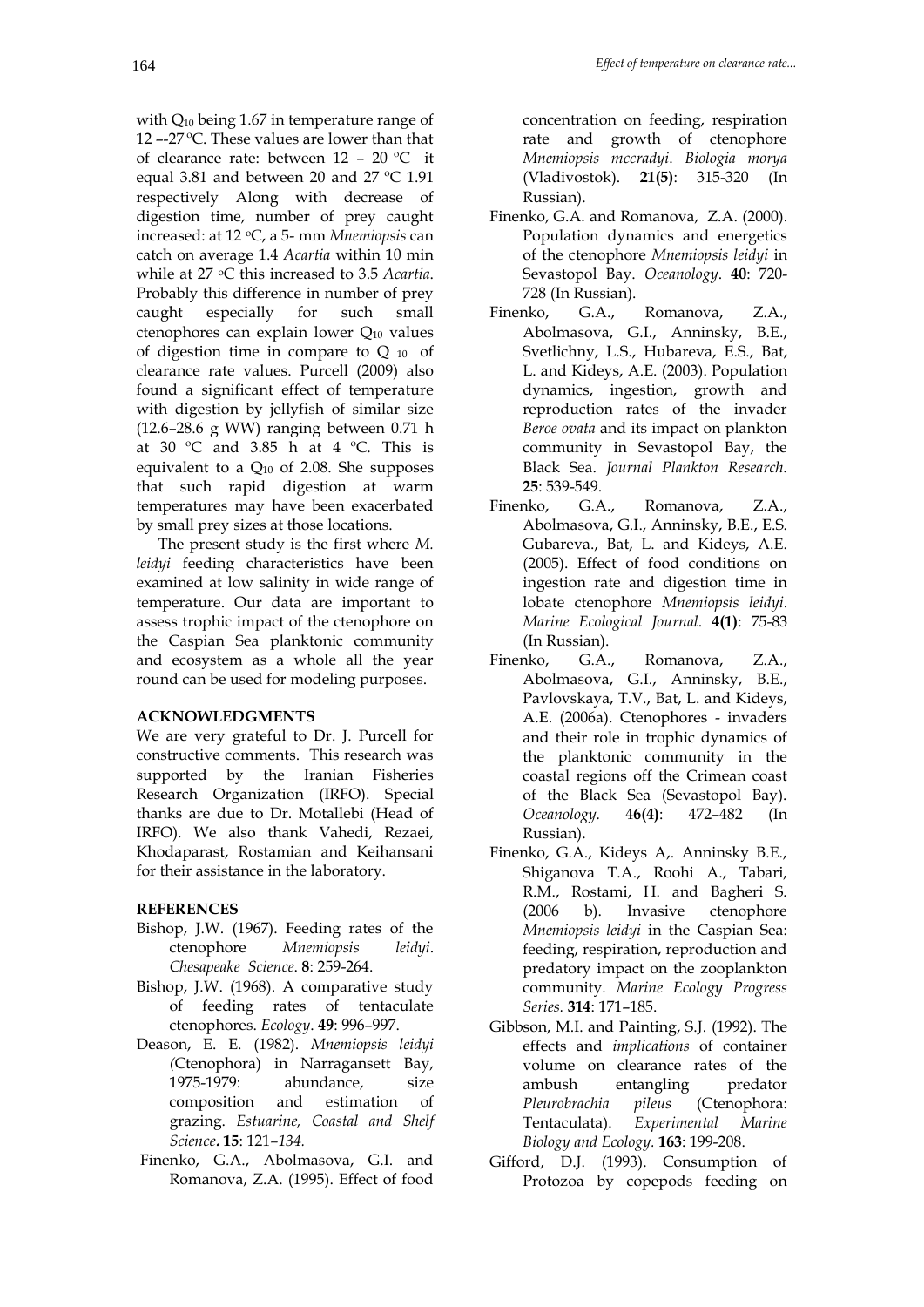with Q<sub>10</sub> being 1.67 in temperature range of 12 –-27 ºC. These values are lower than that of clearance rate: between 12 – 20 ºC it equal 3.81 and between 20 and 27 ºC 1.91 respectively Along with decrease of digestion time, number of prey caught increased: at 12 oC, a 5- mm *Mnemiopsis* can catch on average 1.4 *Acartia* within 10 min while at 27 oC this increased to 3.5 *Acartia*. Probably this difference in number of prey caught especially for such small ctenophores can explain lower  $Q_{10}$  values of digestion time in compare to  $Q_{10}$  of clearance rate values. Purcell (2009) also found a significant effect of temperature with digestion by jellyfish of similar size (12.6–28.6 g WW) ranging between 0.71 h at 30 °C and 3.85 h at 4 °C. This is equivalent to a  $Q_{10}$  of 2.08. She supposes that such rapid digestion at warm temperatures may have been exacerbated by small prey sizes at those locations.

The present study is the first where *M. leidyi* feeding characteristics have been examined at low salinity in wide range of temperature. Our data are important to assess trophic impact of the ctenophore on the Caspian Sea planktonic community and ecosystem as a whole all the year round can be used for modeling purposes.

#### **ACKNOWLEDGMENTS**

We are very grateful to Dr. J. Purcell for constructive comments. This research was supported by the Iranian Fisheries Research Organization (IRFO). Special thanks are due to Dr. Motallebi (Head of IRFO). We also thank Vahedi, Rezaei, Khodaparast, Rostamian and Keihansani for their assistance in the laboratory.

#### **REFERENCES**

- Bishop, J.W. (1967). Feeding rates of the ctenophore *Mnemiopsis leidyi*. *Chesapeake Science*. **8**: 259-264.
- Bishop, J.W. (1968). A comparative study of feeding rates of tentaculate ctenophores. *Ecology*. **49**: 996–997.
- Deason, E. E. (1982). *Mnemiopsis leidyi (*Ctenophora) in Narragansett Bay, 1975-1979: abundance, size composition and estimation of grazing. *Estuarine, Coastal and Shelf Science***. 15**: 121*–134.*
- Finenko, G.A., Abolmasova, G.I. and Romanova, Z.A. (1995). Effect of food

concentration on feeding, respiration rate and growth of ctenophore *Mnemiopsis mccradyi*. *Biologia morya* (Vladivostok). **21(5)**: 315-320 (In Russian).

- Finenko, G.A. and Romanova, Z.A. (2000). Population dynamics and energetics of the ctenophore *Mnemiopsis leidyi* in Sevastopol Bay. *Oceanology*. **40**: 720- 728 (In Russian).
- Finenko, G.A., Romanova, Z.A., Abolmasova, G.I., Anninsky, B.E., Svetlichny, L.S., Hubareva, E.S., Bat, L. and Kideys, A.E. (2003). Population dynamics, ingestion, growth and reproduction rates of the invader *Beroe ovata* and its impact on plankton community in Sevastopol Bay, the Black Sea. *Journal Plankton Research.* **25**: 539-549.
- Finenko, G.A., Romanova, Z.A., Abolmasova, G.I., Anninsky, B.E., E.S. Gubareva., Bat, L. and Kideys, A.E. (2005). Effect of food conditions on ingestion rate and digestion time in lobate ctenophore *Mnemiopsis leidyi*. *Marine Ecological Journal*. **4(1)**: 75-83 (In Russian).
- Finenko, G.A., Romanova, Z.A., Abolmasova, G.I., Anninsky, B.E., Pavlovskaya, T.V., Bat, L. and Kideys, A.E. (2006a). Ctenophores - invaders and their role in trophic dynamics of the planktonic community in the coastal regions off the Crimean coast of the Black Sea (Sevastopol Bay). *Oceanology.* 4**6(4)**: 472–482 (In Russian).
- Finenko, G.A., Kideys A,. Anninsky B.E., Shiganova T.A., Roohi A., Tabari, R.M., Rostami, H. and Bagheri S. (2006 b). Invasive ctenophore *Mnemiopsis leidyi* in the Caspian Sea: feeding, respiration, reproduction and predatory impact on the zooplankton community. *Marine Ecology Progress Series.* **314**: 171–185.
- Gibbson, M.I. and Painting, S.J. (1992). The effects and *implications* of container volume on clearance rates of the ambush entangling predator *Pleurobrachia pileus* (Ctenophora: Tentaculata). *Experimental Marine Biology and Ecology.* **163**: 199-208.
- Gifford, D.J. (1993). Consumption of Protozoa by copepods feeding on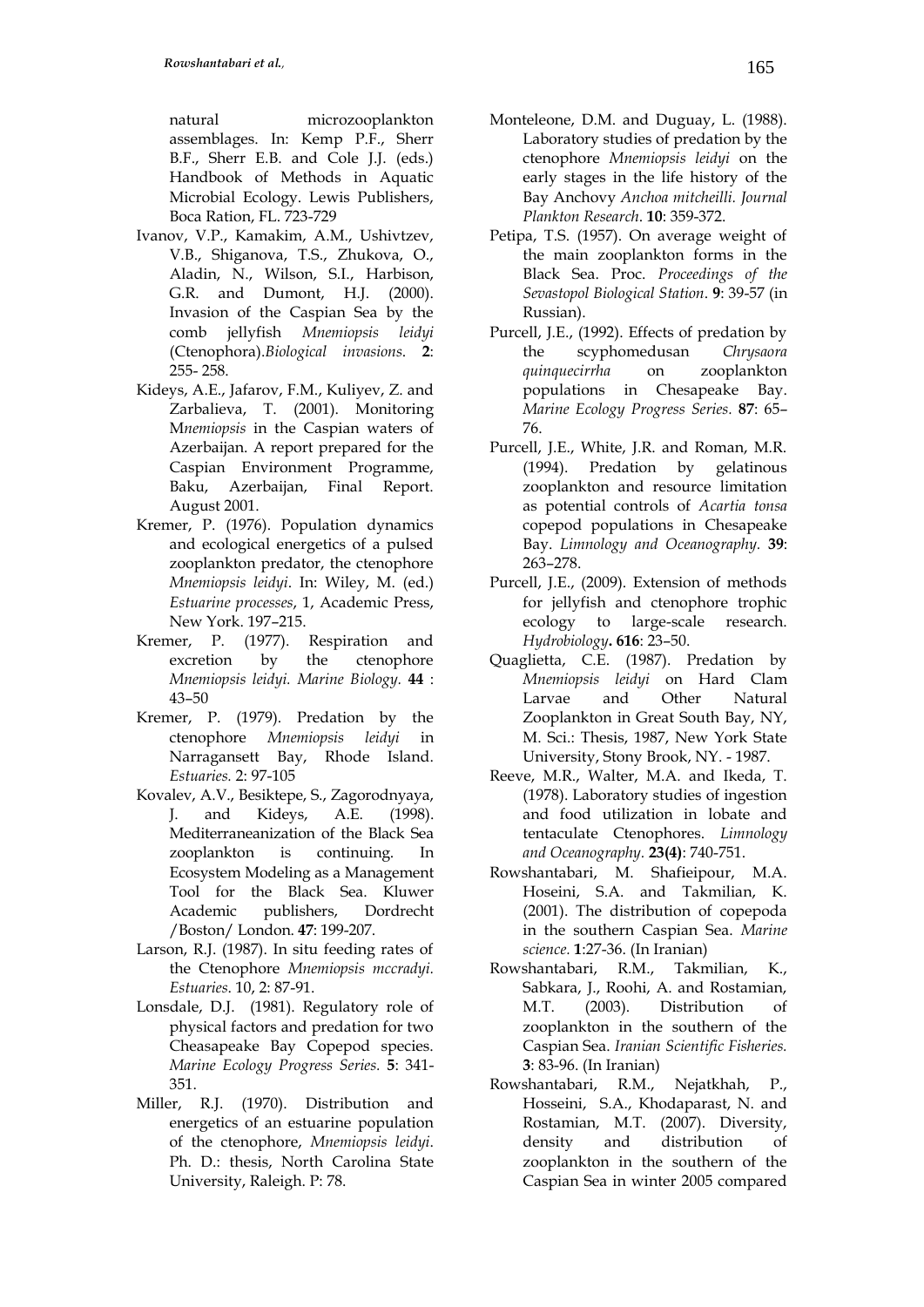natural microzooplankton assemblages. In: Kemp P.F., Sherr B.F., Sherr E.B. and Cole J.J. (eds.) Handbook of Methods in Aquatic Microbial Ecology. Lewis Publishers, Boca Ration, FL. 723-729

- Ivanov, V.P., Kamakim, A.M., Ushivtzev, V.B., Shiganova, T.S., Zhukova, O., Aladin, N., Wilson, S.I., Harbison, G.R. and Dumont, H.J. (2000). Invasion of the Caspian Sea by the comb jellyfish *Mnemiopsis leidyi* (Ctenophora).*Biological invasions*. **2**: 255- 258.
- Kideys, A.E., Jafarov, F.M., Kuliyev, Z. and Zarbalieva, T. (2001). Monitoring M*nemiopsis* in the Caspian waters of Azerbaijan. A report prepared for the Caspian Environment Programme, Baku, Azerbaijan, Final Report. August 2001.
- Kremer, P. (1976). Population dynamics and ecological energetics of a pulsed zooplankton predator, the ctenophore *Mnemiopsis leidyi*. In: Wiley, M. (ed.) *Estuarine processes*, 1, Academic Press, New York. 197–215.
- Kremer, P. (1977). Respiration and excretion by the ctenophore *[Mnemiopsis](file:///mnemiopsis) leidyi. Marine Biology.* **44** : 43–50
- Kremer, P. (1979). Predation by the ctenophore *Mnemiopsis leidyi* in Narragansett Bay, Rhode Island. *Estuaries.* 2: 97-105
- Kovalev, A.V., Besiktepe, S., Zagorodnyaya, J. and Kideys, A.E. (1998). Mediterraneanization of the Black Sea zooplankton is continuing. In Ecosystem Modeling as a Management Tool for the Black Sea. Kluwer Academic publishers, Dordrecht /Boston/ London. **47**: 199-207.
- Larson, R.J. (1987). In situ feeding rates of the Ctenophore *Mnemiopsis mccradyi. Estuaries*. 10, 2: 87-91.
- Lonsdale, D.J. (1981). Regulatory role of physical factors and predation for two Cheasapeake Bay Copepod species. *Marine Ecology Progress Series.* **5**: 341- 351.
- Miller, R.J. (1970). Distribution and energetics of an estuarine population of the ctenophore, *Mnemiopsis leidyi*. Ph. D.: thesis, North Carolina State University, Raleigh. P: 78.
- Monteleone, D.M. and Duguay, L. (1988). Laboratory studies of predation by the ctenophore *Mnemiopsis leidyi* on the early stages in the life history of the Bay Anchovy *Anchoa mitcheilli. Journal Plankton Research*. **10**: 359-372.
- Petipa, T.S. (1957). On average weight of the main zooplankton forms in the Black Sea. Proc. *Proceedings of the Sevastopol Biological Station*. **9**: 39-57 (in Russian).
- Purcell, J.E., (1992). Effects of predation by the scyphomedusan *Chrysaora quinquecirrha* on zooplankton populations in Chesapeake Bay. *Marine Ecology Progress Series.* **87**: 65– 76.
- Purcell, J.E., White, J.R. and Roman, M.R. (1994). Predation by gelatinous zooplankton and resource limitation as potential controls of *Acartia tonsa* copepod populations in Chesapeake Bay. *Limnology and Oceanography.* **39**: 263–278.
- Purcell, J.E., (2009). Extension of methods for jellyfish and ctenophore trophic ecology to large-scale research. *Hydrobiology***. 616**: 23–50.
- Quaglietta, C.E. (1987). Predation by *Mnemiopsis leidyi* on Hard Clam Larvae and Other Natural Zooplankton in Great South Bay, NY, M. Sci.: Thesis, 1987, New York State University, Stony Brook, NY. - 1987.
- Reeve, M.R., Walter, M.A. and Ikeda, T. (1978). Laboratory studies of ingestion and food utilization in lobate and tentaculate Ctenophores. *Limnology and Oceanography.* **23(4)**: 740-751.
- Rowshantabari, M. Shafieipour, M.A. Hoseini, S.A. and Takmilian, K. (2001). The distribution of copepoda in the southern Caspian Sea. *Marine science.* **1**:27-36. (In Iranian)
- Rowshantabari, R.M., Takmilian, K., Sabkara, J., Roohi, A. and Rostamian, M.T. (2003). Distribution of zooplankton in the southern of the Caspian Sea. *Iranian Scientific Fisheries.* **3**: 83-96. (In Iranian)
- Rowshantabari, R.M., Nejatkhah, P., Hosseini, S.A., Khodaparast, N. and Rostamian, M.T. (2007). Diversity, density and distribution of zooplankton in the southern of the Caspian Sea in winter 2005 compared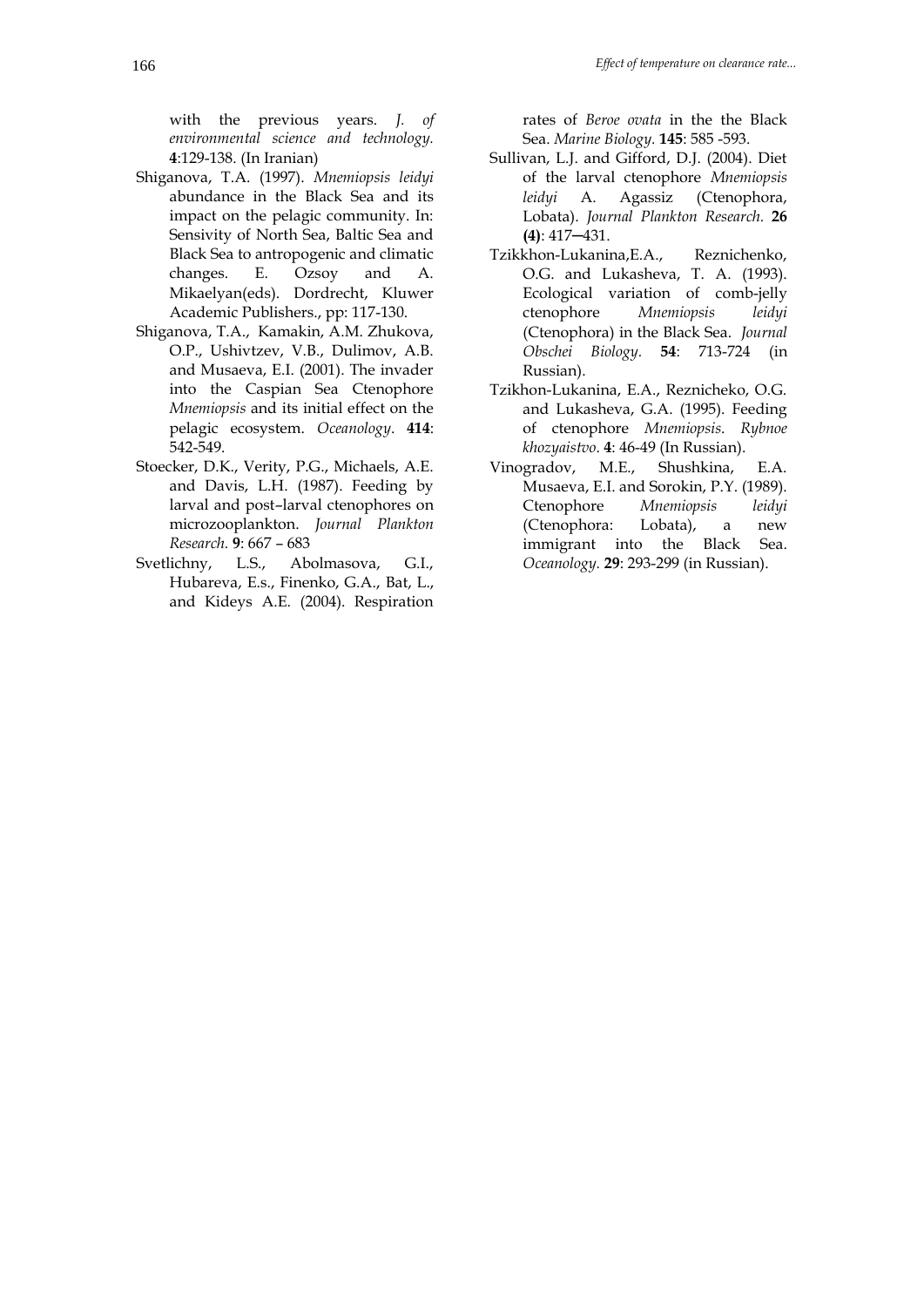with the previous years. *J. of environmental science and technology.*  **4**:129-138. (In Iranian)

- Shiganova, T.A. (1997). *Mnemiopsis leidyi*  abundance in the Black Sea and its impact on the pelagic community. In: Sensivity of North Sea, Baltic Sea and Black Sea to antropogenic and climatic changes. E. Ozsoy and A. Mikaelyan(eds). Dordrecht, Kluwer Academic Publishers., pp: 117-130.
- Shiganova, T.A., Kamakin, A.M. Zhukova, O.P., Ushivtzev, V.B., Dulimov, A.B. and Musaeva, E.I. (2001). The invader into the Caspian Sea Ctenophore *Mnemiopsis* and its initial effect on the pelagic ecosystem. *Oceanology*. **414**: 542-549.
- Stoecker, D.K., Verity, P.G., Michaels, A.E. and Davis, L.H. (1987). Feeding by larval and post–larval ctenophores on microzooplankton. *Journal Plankton Research.* **9**: 667 – 683
- Svetlichny, L.S., Abolmasova, G.I., Hubareva, E.s., Finenko, G.A., Bat, L., and Kideys A.E. (2004). Respiration

rates of *Beroe ovata* in the the Black Sea. *Marine Biology.* **145**: 585 -593.

- Sullivan, L.J. and Gifford, D.J. (2004). Diet of the larval ctenophore *Mnemiopsis leidyi* A. Agassiz (Ctenophora, Lobata). *Journal Plankton Research.* **26 (4)**: 417─431.
- Tzikkhon-Lukanina,E.A., Reznichenko, O.G. and Lukasheva, T. A. (1993). Ecological variation of comb-jelly ctenophore *Mnemiopsis leidyi* (Ctenophora) in the Black Sea. *Journal Obschei Biology.* **54**: 713-724 (in Russian).
- Tzikhon-Lukanina, E.A., Reznicheko, O.G. and Lukasheva, G.A. (1995). Feeding of ctenophore *Mnemiopsis*. *Rybnoe khozyaistvo*. **4**: 46-49 (In Russian).
- Vinogradov, M.E., Shushkina, E.A. Musaeva, E.I. and Sorokin, P.Y. (1989). Ctenophore *Mnemiopsis leidyi* (Ctenophora: Lobata), a new immigrant into the Black Sea. *Oceanology.* **29**: 293-299 (in Russian).